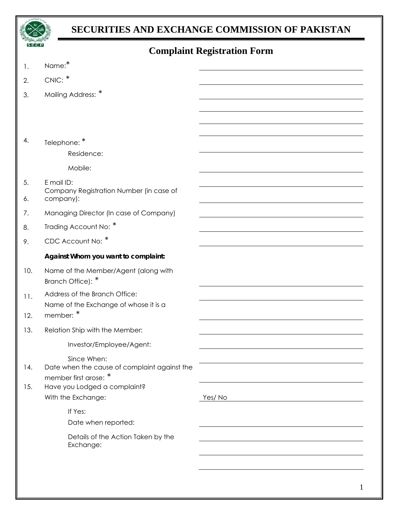

## **SECURITIES AND EXCHANGE COMMISSION OF PAKISTAN**

| <b>Complaint Registration Form</b> |  |
|------------------------------------|--|
|------------------------------------|--|

| 1.  | Name:*                                                      |        |
|-----|-------------------------------------------------------------|--------|
| 2.  | CNIC: *                                                     |        |
| 3.  | Mailing Address: *                                          |        |
|     |                                                             |        |
|     |                                                             |        |
|     |                                                             |        |
| 4.  | Telephone: *                                                |        |
|     | Residence:                                                  |        |
|     | Mobile:                                                     |        |
| 5.  | E mail ID:<br>Company Registration Number (in case of       |        |
| 6.  | company):                                                   |        |
| 7.  | Managing Director (In case of Company)                      |        |
| 8.  | Trading Account No: *                                       |        |
| 9.  | CDC Account No: *                                           |        |
|     | Against Whom you want to complaint:                         |        |
| 10. | Name of the Member/Agent (along with<br>Branch Office): *   |        |
| 11. | Address of the Branch Office:                               |        |
|     | Name of the Exchange of whose it is a<br>member: *          |        |
| 12. |                                                             |        |
| 13. | Relation Ship with the Member:                              |        |
|     | Investor/Employee/Agent:                                    |        |
| 14. | Since When:<br>Date when the cause of complaint against the |        |
|     | member first arose: *                                       |        |
| 15. | Have you Lodged a complaint?                                |        |
|     | With the Exchange:                                          | Yes/No |
|     | If Yes:                                                     |        |
|     | Date when reported:                                         |        |
|     | Details of the Action Taken by the<br>Exchange:             |        |
|     |                                                             |        |
|     |                                                             |        |
|     |                                                             |        |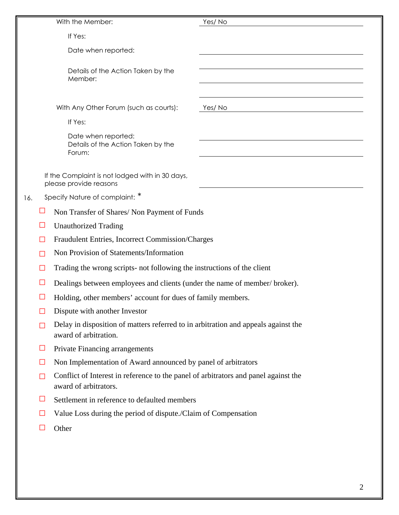|     |              | With the Member:                                                                                             | Yes/No |
|-----|--------------|--------------------------------------------------------------------------------------------------------------|--------|
|     |              | If Yes:                                                                                                      |        |
|     |              | Date when reported:                                                                                          |        |
|     |              |                                                                                                              |        |
|     |              | Details of the Action Taken by the<br>Member:                                                                |        |
|     |              |                                                                                                              |        |
|     |              | With Any Other Forum (such as courts):                                                                       | Yes/No |
|     |              | If Yes:                                                                                                      |        |
|     |              | Date when reported:                                                                                          |        |
|     |              | Details of the Action Taken by the<br>Forum:                                                                 |        |
|     |              |                                                                                                              |        |
|     |              | If the Complaint is not lodged with in 30 days,<br>please provide reasons                                    |        |
| 16. |              | Specify Nature of complaint: *                                                                               |        |
|     | Ш            | Non Transfer of Shares/ Non Payment of Funds                                                                 |        |
|     | ⊔            | <b>Unauthorized Trading</b>                                                                                  |        |
|     | $\mathsf{L}$ | Fraudulent Entries, Incorrect Commission/Charges                                                             |        |
|     |              | Non Provision of Statements/Information                                                                      |        |
|     |              | Trading the wrong scripts- not following the instructions of the client                                      |        |
|     |              | Dealings between employees and clients (under the name of member/broker).                                    |        |
|     |              | Holding, other members' account for dues of family members.                                                  |        |
|     | ⊔            | Dispute with another Investor                                                                                |        |
|     | Ш            | Delay in disposition of matters referred to in arbitration and appeals against the<br>award of arbitration.  |        |
|     | ⊔            | Private Financing arrangements                                                                               |        |
|     | ⊔            | Non Implementation of Award announced by panel of arbitrators                                                |        |
|     | П            | Conflict of Interest in reference to the panel of arbitrators and panel against the<br>award of arbitrators. |        |
|     | $\Box$       | Settlement in reference to defaulted members                                                                 |        |
|     | ⊔            | Value Loss during the period of dispute./Claim of Compensation                                               |        |
|     |              | Other                                                                                                        |        |
|     |              |                                                                                                              |        |
|     |              |                                                                                                              |        |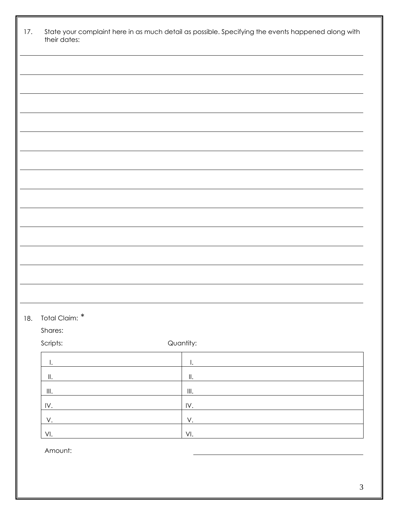|     | their dates:                        |                                      |
|-----|-------------------------------------|--------------------------------------|
|     |                                     |                                      |
|     |                                     |                                      |
|     |                                     |                                      |
|     |                                     |                                      |
|     |                                     |                                      |
|     |                                     |                                      |
|     |                                     |                                      |
|     |                                     |                                      |
|     |                                     |                                      |
|     |                                     |                                      |
|     |                                     |                                      |
|     |                                     |                                      |
|     |                                     |                                      |
|     |                                     |                                      |
|     |                                     |                                      |
|     |                                     |                                      |
|     |                                     |                                      |
|     |                                     |                                      |
|     |                                     |                                      |
|     | Total Claim: *<br>Shares:           |                                      |
|     | Scripts:                            | Quantity:                            |
|     | Ι.                                  | $\mathsf{L}$                         |
|     |                                     | $\parallel.$                         |
|     | $\ensuremath{\mathsf{III}}\xspace.$ | $\ensuremath{\mathsf{III}}\xspace$ . |
|     | IV.                                 | IV.                                  |
| 18. | V.                                  | V.                                   |